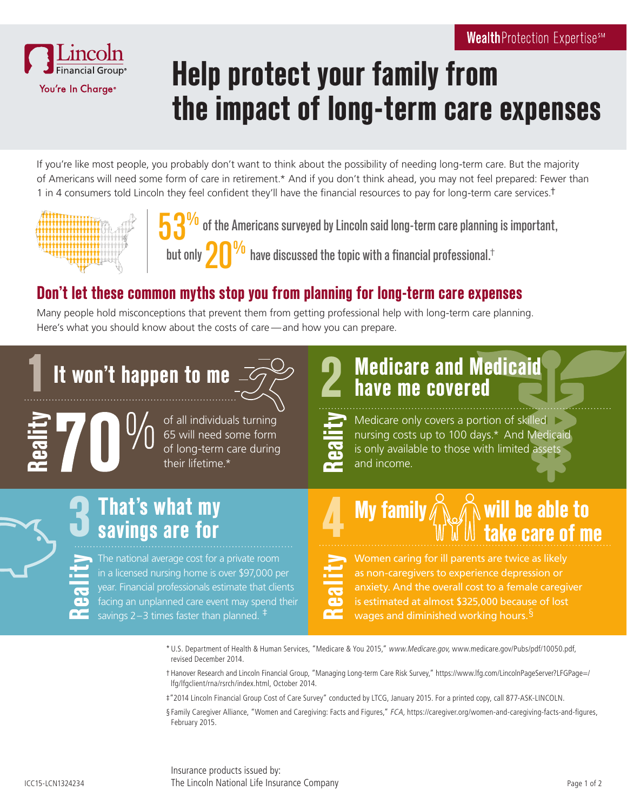

# **Help protect your family from the impact of long-term care expenses**

If you're like most people, you probably don't want to think about the possibility of needing long-term care. But the majority of Americans will need some form of care in retirement.\* And if you don't think ahead, you may not feel prepared: Fewer than 1 in 4 consumers told Lincoln they feel confident they'll have the financial resources to pay for long-term care services.<sup>†</sup>





 $\frac{1}{20}$  of the Americans surveyed by Lincoln said long-term care planning is important,

have discussed the topic with a financial professional.†

### **Don't let these common myths stop you from planning for long-term care expenses**

Many people hold misconceptions that prevent them from getting professional help with long-term care planning. Here's what you should know about the costs of care —and how you can prepare.

## **It won't happen to me 1** It won't happen to me  $\frac{1}{2}$

**Reality**

of all individuals turning 65 will need some form of long-term care during their lifetime.\*

## **Medicare and Medicaid have me covered**

Medicare only covers a portion of skilled nursing costs up to 100 days.\* And Medicaid is only available to those with limited assets and income. **Reality**

#### **That's what my**   $\begin{array}{ccc} \textsf{That's what my} \ \textsf{sayings are for} \end{array} \begin{array}{ccc} \textsf{A} \ \textsf{My family} \end{array}$ **3** That's what my **able to be able to a the same of me the same of me the same of me the same of me**

The national average cost for a private room in a licensed nursing home is over \$97,000 per year. Financial professionals estimate that clients facing an unplanned care event may spend their savings 2–3 times faster than planned.  $\overline{+}$ **Reality**

Women caring for ill parents are twice as likely as non-caregivers to experience depression or anxiety. And the overall cost to a female caregiver is estimated at almost \$325,000 because of lost

wages and diminished working hours.<sup>§</sup> **Reality**

\* U.S. Department of Health & Human Services, "Medicare & You 2015," www.Medicare.gov, www.medicare.gov/Pubs/pdf/10050.pdf, revised December 2014.

- † Hanover Research and Lincoln Financial Group, "Managing Long-term Care Risk Survey," https://www.lfg.com/LincolnPageServer?LFGPage=/ lfg/lfgclient/rna/rsrch/index.html, October 2014.
- ‡"2014 Lincoln Financial Group Cost of Care Survey" conducted by LTCG, January 2015. For a printed copy, call 877-ASK-LINCOLN.
- § Family Caregiver Alliance, "Women and Caregiving: Facts and Figures," FCA, https://caregiver.org/women-and-caregiving-facts-and-figures, February 2015.